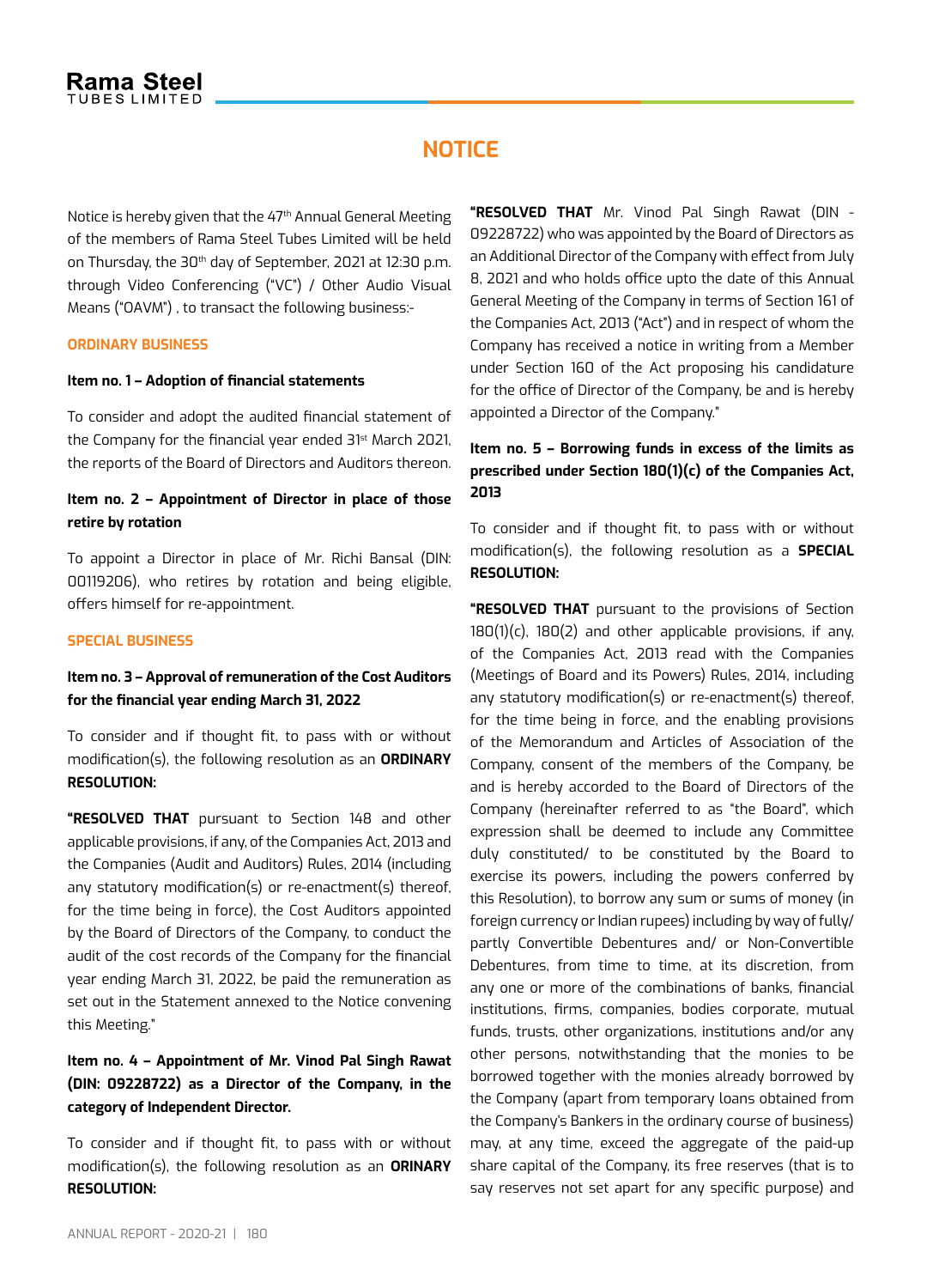# **Notice**

Notice is hereby given that the 47<sup>th</sup> Annual General Meeting of the members of Rama Steel Tubes Limited will be held on Thursday, the 30<sup>th</sup> day of September, 2021 at 12:30 p.m. through Video Conferencing ("VC") / Other Audio Visual Means ("OAVM") , to transact the following business:-

#### **Ordinary Business**

#### **Item no. 1 – Adoption of financial statements**

To consider and adopt the audited financial statement of the Company for the financial year ended 31<sup>st</sup> March 2021, the reports of the Board of Directors and Auditors thereon.

## **Item no. 2 – Appointment of Director in place of those retire by rotation**

To appoint a Director in place of Mr. Richi Bansal (DIN: 00119206), who retires by rotation and being eligible, offers himself for re-appointment.

#### **Special Business**

### **Item no. 3 – Approval of remuneration of the Cost Auditors for the financial year ending March 31, 2022**

To consider and if thought fit, to pass with or without modification(s), the following resolution as an **ORDINARY RESOLUTION:**

**"RESOLVED THAT** pursuant to Section 148 and other applicable provisions, if any, of the Companies Act, 2013 and the Companies (Audit and Auditors) Rules, 2014 (including any statutory modification(s) or re-enactment(s) thereof, for the time being in force), the Cost Auditors appointed by the Board of Directors of the Company, to conduct the audit of the cost records of the Company for the financial year ending March 31, 2022, be paid the remuneration as set out in the Statement annexed to the Notice convening this Meeting."

# **Item no. 4 – Appointment of Mr. Vinod Pal Singh Rawat (DIN: 09228722) as a Director of the Company, in the category of Independent Director.**

To consider and if thought fit, to pass with or without modification(s), the following resolution as an **ORINARY RESOLUTION:**

**"RESOLVED THAT** Mr. Vinod Pal Singh Rawat (DIN - 09228722) who was appointed by the Board of Directors as an Additional Director of the Company with effect from July 8, 2021 and who holds office upto the date of this Annual General Meeting of the Company in terms of Section 161 of the Companies Act, 2013 ("Act") and in respect of whom the Company has received a notice in writing from a Member under Section 160 of the Act proposing his candidature for the office of Director of the Company, be and is hereby appointed a Director of the Company."

# **Item no. 5 – Borrowing funds in excess of the limits as prescribed under Section 180(1)(c) of the Companies Act, 2013**

To consider and if thought fit, to pass with or without modification(s), the following resolution as a **SPECIAL RESOLUTION:**

**"RESOLVED THAT** pursuant to the provisions of Section  $180(1)(c)$ ,  $180(2)$  and other applicable provisions, if any, of the Companies Act, 2013 read with the Companies (Meetings of Board and its Powers) Rules, 2014, including any statutory modification(s) or re-enactment(s) thereof, for the time being in force, and the enabling provisions of the Memorandum and Articles of Association of the Company, consent of the members of the Company, be and is hereby accorded to the Board of Directors of the Company (hereinafter referred to as "the Board", which expression shall be deemed to include any Committee duly constituted/ to be constituted by the Board to exercise its powers, including the powers conferred by this Resolution), to borrow any sum or sums of money (in foreign currency or Indian rupees) including by way of fully/ partly Convertible Debentures and/ or Non-Convertible Debentures, from time to time, at its discretion, from any one or more of the combinations of banks, financial institutions, firms, companies, bodies corporate, mutual funds, trusts, other organizations, institutions and/or any other persons, notwithstanding that the monies to be borrowed together with the monies already borrowed by the Company (apart from temporary loans obtained from the Company's Bankers in the ordinary course of business) may, at any time, exceed the aggregate of the paid-up share capital of the Company, its free reserves (that is to say reserves not set apart for any specific purpose) and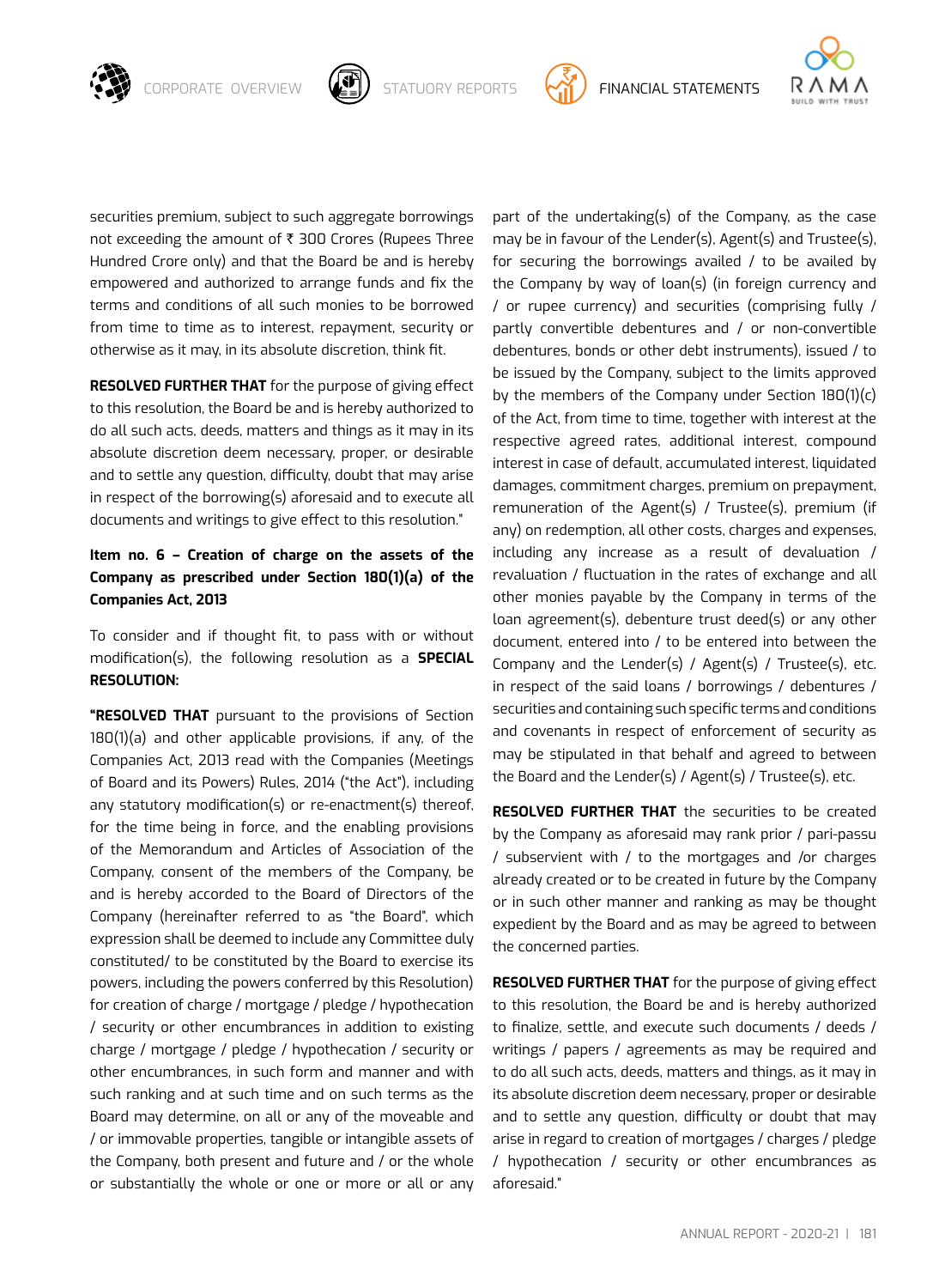

CORPORATE OVERVIEW  $\left(\bigoplus_{i=1}^{\infty}\right)$  statuory reports  $\left(\bigoplus_{i=1}^{\infty}\right)$  financial statements



securities premium, subject to such aggregate borrowings not exceeding the amount of  $\bar{\tau}$  300 Crores (Rupees Three Hundred Crore only) and that the Board be and is hereby empowered and authorized to arrange funds and fix the terms and conditions of all such monies to be borrowed from time to time as to interest, repayment, security or otherwise as it may, in its absolute discretion, think fit.

**RESOLVED FURTHER THAT** for the purpose of giving effect to this resolution, the Board be and is hereby authorized to do all such acts, deeds, matters and things as it may in its absolute discretion deem necessary, proper, or desirable and to settle any question, difficulty, doubt that may arise in respect of the borrowing(s) aforesaid and to execute all documents and writings to give effect to this resolution."

# **Item no. 6 – Creation of charge on the assets of the Company as prescribed under Section 180(1)(a) of the Companies Act, 2013**

To consider and if thought fit, to pass with or without modification(s), the following resolution as a **SPECIAL RESOLUTION:**

**"RESOLVED THAT** pursuant to the provisions of Section  $180(1)(a)$  and other applicable provisions, if any, of the Companies Act, 2013 read with the Companies (Meetings of Board and its Powers) Rules, 2014 ("the Act"), including any statutory modification(s) or re-enactment(s) thereof, for the time being in force, and the enabling provisions of the Memorandum and Articles of Association of the Company, consent of the members of the Company, be and is hereby accorded to the Board of Directors of the Company (hereinafter referred to as "the Board", which expression shall be deemed to include any Committee duly constituted/ to be constituted by the Board to exercise its powers, including the powers conferred by this Resolution) for creation of charge / mortgage / pledge / hypothecation / security or other encumbrances in addition to existing charge / mortgage / pledge / hypothecation / security or other encumbrances, in such form and manner and with such ranking and at such time and on such terms as the Board may determine, on all or any of the moveable and / or immovable properties, tangible or intangible assets of the Company, both present and future and / or the whole or substantially the whole or one or more or all or any

part of the undertaking(s) of the Company, as the case may be in favour of the Lender(s), Agent(s) and Trustee(s), for securing the borrowings availed / to be availed by the Company by way of loan(s) (in foreign currency and / or rupee currency) and securities (comprising fully / partly convertible debentures and / or non-convertible debentures, bonds or other debt instruments), issued / to be issued by the Company, subject to the limits approved by the members of the Company under Section 180(1)(c) of the Act, from time to time, together with interest at the respective agreed rates, additional interest, compound interest in case of default, accumulated interest, liquidated damages, commitment charges, premium on prepayment, remuneration of the Agent(s) / Trustee(s), premium (if any) on redemption, all other costs, charges and expenses, including any increase as a result of devaluation / revaluation / fluctuation in the rates of exchange and all other monies payable by the Company in terms of the loan agreement(s), debenture trust deed(s) or any other document, entered into / to be entered into between the Company and the Lender(s) / Agent(s) / Trustee(s), etc. in respect of the said loans / borrowings / debentures / securities and containing such specific terms and conditions and covenants in respect of enforcement of security as may be stipulated in that behalf and agreed to between the Board and the Lender(s) / Agent(s) / Trustee(s), etc.

**RESOLVED FURTHER THAT** the securities to be created by the Company as aforesaid may rank prior / pari-passu / subservient with / to the mortgages and /or charges already created or to be created in future by the Company or in such other manner and ranking as may be thought expedient by the Board and as may be agreed to between the concerned parties.

**RESOLVED FURTHER THAT** for the purpose of giving effect to this resolution, the Board be and is hereby authorized to finalize, settle, and execute such documents / deeds / writings / papers / agreements as may be required and to do all such acts, deeds, matters and things, as it may in its absolute discretion deem necessary, proper or desirable and to settle any question, difficulty or doubt that may arise in regard to creation of mortgages / charges / pledge / hypothecation / security or other encumbrances as aforesaid."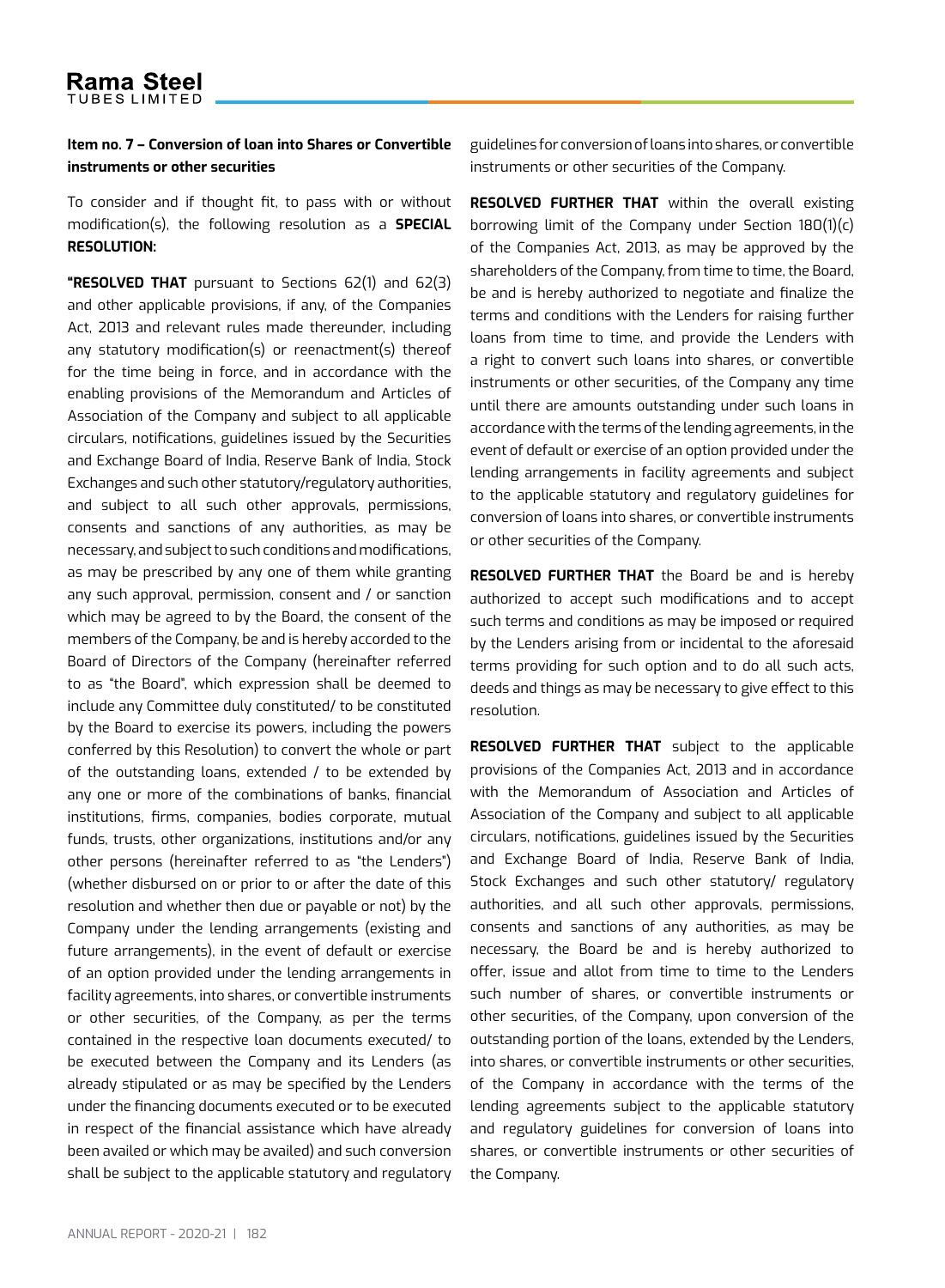### **Item no. 7 – Conversion of loan into Shares or Convertible instruments or other securities**

To consider and if thought fit, to pass with or without modification(s), the following resolution as a **SPECIAL RESOLUTION:**

**"RESOLVED THAT** pursuant to Sections 62(1) and 62(3) and other applicable provisions, if any, of the Companies Act, 2013 and relevant rules made thereunder, including any statutory modification(s) or reenactment(s) thereof for the time being in force, and in accordance with the enabling provisions of the Memorandum and Articles of Association of the Company and subject to all applicable circulars, notifications, guidelines issued by the Securities and Exchange Board of India, Reserve Bank of India, Stock Exchanges and such other statutory/regulatory authorities, and subject to all such other approvals, permissions, consents and sanctions of any authorities, as may be necessary, and subject to such conditions and modifications, as may be prescribed by any one of them while granting any such approval, permission, consent and / or sanction which may be agreed to by the Board, the consent of the members of the Company, be and is hereby accorded to the Board of Directors of the Company (hereinafter referred to as "the Board", which expression shall be deemed to include any Committee duly constituted/ to be constituted by the Board to exercise its powers, including the powers conferred by this Resolution) to convert the whole or part of the outstanding loans, extended / to be extended by any one or more of the combinations of banks, financial institutions, firms, companies, bodies corporate, mutual funds, trusts, other organizations, institutions and/or any other persons (hereinafter referred to as "the Lenders") (whether disbursed on or prior to or after the date of this resolution and whether then due or payable or not) by the Company under the lending arrangements (existing and future arrangements), in the event of default or exercise of an option provided under the lending arrangements in facility agreements, into shares, or convertible instruments or other securities, of the Company, as per the terms contained in the respective loan documents executed/ to be executed between the Company and its Lenders (as already stipulated or as may be specified by the Lenders under the financing documents executed or to be executed in respect of the financial assistance which have already been availed or which may be availed) and such conversion shall be subject to the applicable statutory and regulatory guidelines for conversion of loans into shares, or convertible instruments or other securities of the Company.

**RESOLVED FURTHER THAT** within the overall existing borrowing limit of the Company under Section 180(1)(c) of the Companies Act, 2013, as may be approved by the shareholders of the Company, from time to time, the Board, be and is hereby authorized to negotiate and finalize the terms and conditions with the Lenders for raising further loans from time to time, and provide the Lenders with a right to convert such loans into shares, or convertible instruments or other securities, of the Company any time until there are amounts outstanding under such loans in accordance with the terms of the lending agreements, in the event of default or exercise of an option provided under the lending arrangements in facility agreements and subject to the applicable statutory and regulatory guidelines for conversion of loans into shares, or convertible instruments or other securities of the Company.

**RESOLVED FURTHER THAT** the Board be and is hereby authorized to accept such modifications and to accept such terms and conditions as may be imposed or required by the Lenders arising from or incidental to the aforesaid terms providing for such option and to do all such acts, deeds and things as may be necessary to give effect to this resolution.

**RESOLVED FURTHER THAT** subject to the applicable provisions of the Companies Act, 2013 and in accordance with the Memorandum of Association and Articles of Association of the Company and subject to all applicable circulars, notifications, guidelines issued by the Securities and Exchange Board of India, Reserve Bank of India, Stock Exchanges and such other statutory/ regulatory authorities, and all such other approvals, permissions, consents and sanctions of any authorities, as may be necessary, the Board be and is hereby authorized to offer, issue and allot from time to time to the Lenders such number of shares, or convertible instruments or other securities, of the Company, upon conversion of the outstanding portion of the loans, extended by the Lenders, into shares, or convertible instruments or other securities, of the Company in accordance with the terms of the lending agreements subject to the applicable statutory and regulatory guidelines for conversion of loans into shares, or convertible instruments or other securities of the Company.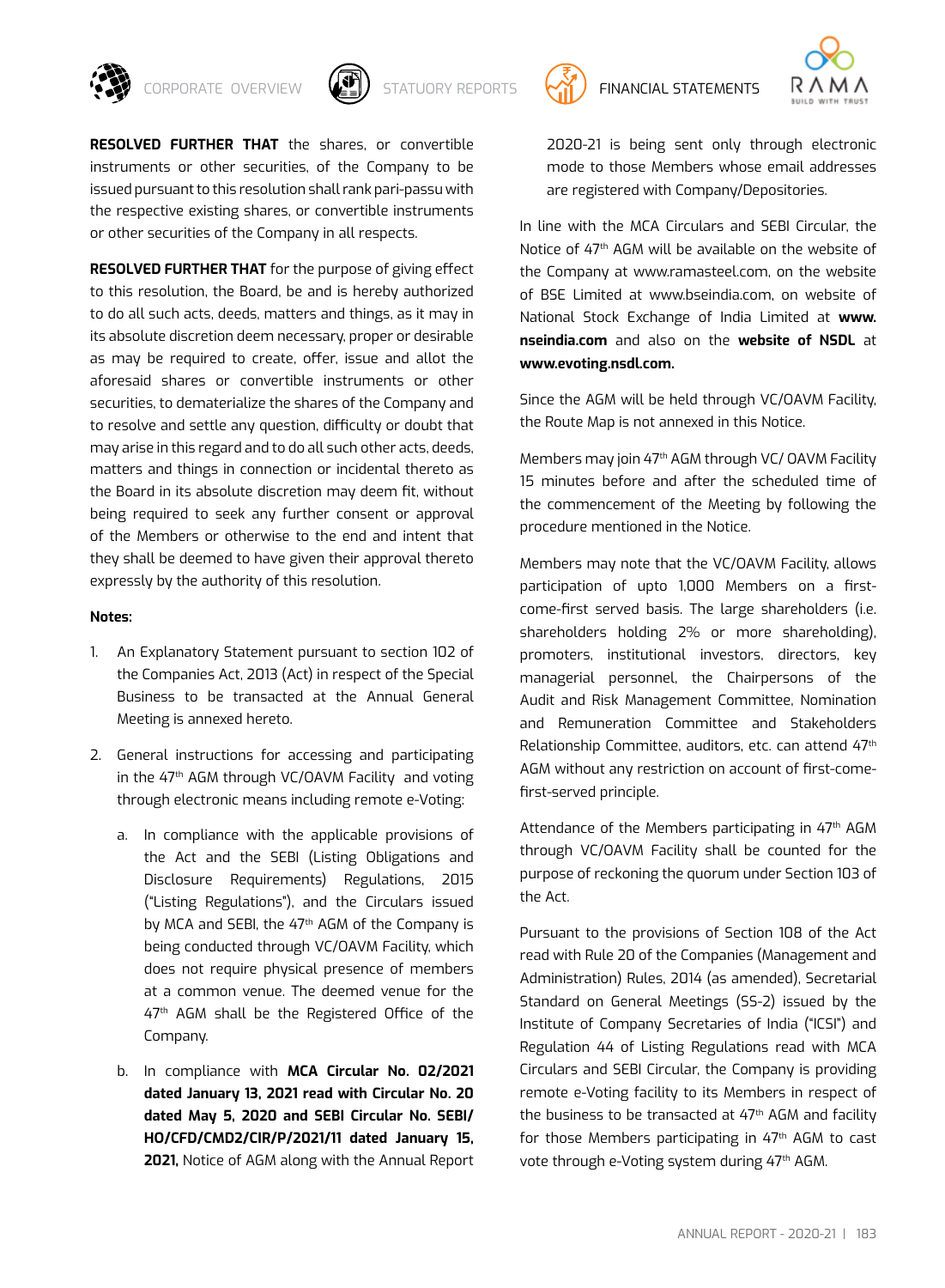



**RESOLVED FURTHER THAT** the shares, or convertible instruments or other securities, of the Company to be issued pursuant to this resolution shall rank pari-passu with the respective existing shares, or convertible instruments or other securities of the Company in all respects.

**RESOLVED FURTHER THAT** for the purpose of giving effect to this resolution, the Board, be and is hereby authorized to do all such acts, deeds, matters and things, as it may in its absolute discretion deem necessary, proper or desirable as may be required to create, offer, issue and allot the aforesaid shares or convertible instruments or other securities, to dematerialize the shares of the Company and to resolve and settle any question, difficulty or doubt that may arise in this regard and to do all such other acts, deeds, matters and things in connection or incidental thereto as the Board in its absolute discretion may deem fit, without being required to seek any further consent or approval of the Members or otherwise to the end and intent that they shall be deemed to have given their approval thereto expressly by the authority of this resolution.

#### **Notes:**

- 1. An Explanatory Statement pursuant to section 102 of the Companies Act, 2013 (Act) in respect of the Special Business to be transacted at the Annual General Meeting is annexed hereto.
- 2. General instructions for accessing and participating in the  $47<sup>th</sup>$  AGM through VC/OAVM Facility and voting through electronic means including remote e-Voting:
	- a. In compliance with the applicable provisions of the Act and the SEBI (Listing Obligations and Disclosure Requirements) Regulations, 2015 ("Listing Regulations"), and the Circulars issued by MCA and SEBI, the 47<sup>th</sup> AGM of the Company is being conducted through VC/OAVM Facility, which does not require physical presence of members at a common venue. The deemed venue for the 47<sup>th</sup> AGM shall be the Registered Office of the Company.
	- b. In compliance with **MCA Circular No. 02/2021 dated January 13, 2021 read with Circular No. 20 dated May 5, 2020 and SEBI Circular No. SEBI/ HO/CFD/CMD2/CIR/P/2021/11 dated January 15, 2021,** Notice of AGM along with the Annual Report



2020-21 is being sent only through electronic mode to those Members whose email addresses are registered with Company/Depositories.

In line with the MCA Circulars and SEBI Circular, the Notice of 47th AGM will be available on the website of the Company at www.ramasteel.com, on the website of BSE Limited at www.bseindia.com, on website of National Stock Exchange of India Limited at **www. nseindia.com** and also on the **website of NSDL** at **www.evoting.nsdl.com.**

Since the AGM will be held through VC/OAVM Facility, the Route Map is not annexed in this Notice.

Members may join 47<sup>th</sup> AGM through VC/ OAVM Facility 15 minutes before and after the scheduled time of the commencement of the Meeting by following the procedure mentioned in the Notice.

Members may note that the VC/OAVM Facility, allows participation of upto 1,000 Members on a firstcome-first served basis. The large shareholders (i.e. shareholders holding 2% or more shareholding), promoters, institutional investors, directors, key managerial personnel, the Chairpersons of the Audit and Risk Management Committee, Nomination and Remuneration Committee and Stakeholders Relationship Committee, auditors, etc. can attend 47th AGM without any restriction on account of first-comefirst-served principle.

Attendance of the Members participating in 47<sup>th</sup> AGM through VC/OAVM Facility shall be counted for the purpose of reckoning the quorum under Section 103 of the Act.

Pursuant to the provisions of Section 108 of the Act read with Rule 20 of the Companies (Management and Administration) Rules, 2014 (as amended), Secretarial Standard on General Meetings (SS-2) issued by the Institute of Company Secretaries of India ("ICSI") and Regulation 44 of Listing Regulations read with MCA Circulars and SEBI Circular, the Company is providing remote e-Voting facility to its Members in respect of the business to be transacted at  $47<sup>th</sup>$  AGM and facility for those Members participating in 47<sup>th</sup> AGM to cast vote through e-Voting system during 47th AGM.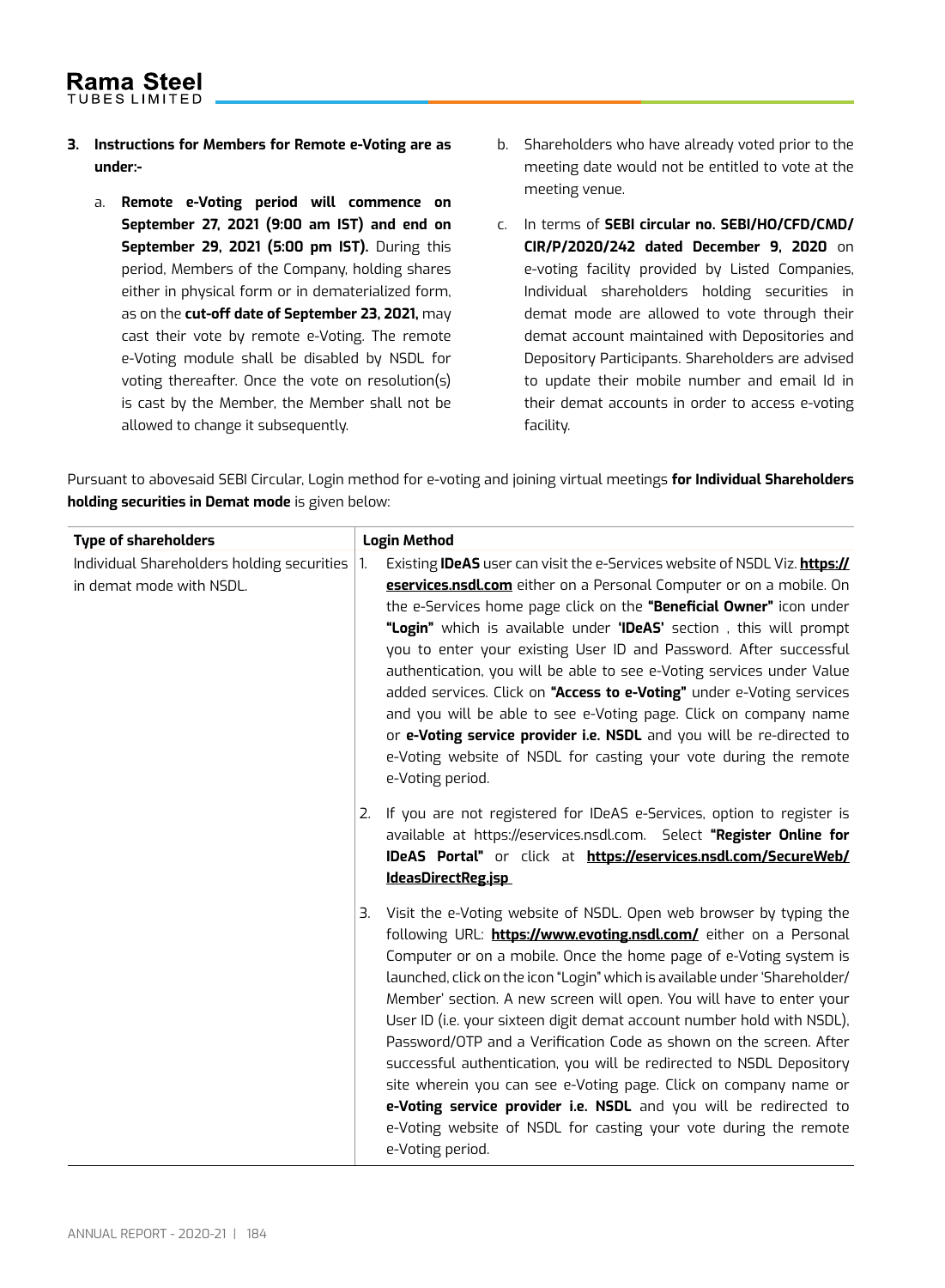- **3. Instructions for Members for Remote e-Voting are as under:**
	- a. **Remote e-Voting period will commence on September 27, 2021 (9:00 am IST) and end on September 29, 2021 (5:00 pm IST).** During this period, Members of the Company, holding shares either in physical form or in dematerialized form, as on the **cut-off date of September 23, 2021,** may cast their vote by remote e-Voting. The remote e-Voting module shall be disabled by NSDL for voting thereafter. Once the vote on resolution(s) is cast by the Member, the Member shall not be allowed to change it subsequently.
- b. Shareholders who have already voted prior to the meeting date would not be entitled to vote at the meeting venue.
- c. In terms of **SEBI circular no. SEBI/HO/CFD/CMD/ CIR/P/2020/242 dated December 9, 2020** on e-voting facility provided by Listed Companies, Individual shareholders holding securities in demat mode are allowed to vote through their demat account maintained with Depositories and Depository Participants. Shareholders are advised to update their mobile number and email Id in their demat accounts in order to access e-voting facility.

Pursuant to abovesaid SEBI Circular, Login method for e-voting and joining virtual meetings **for Individual Shareholders holding securities in Demat mode** is given below:

| <b>Type of shareholders</b>                                            | <b>Login Method</b>                                                                                                                                                                                                                                                                                                                                                                                                                                                                                                                                                                                                                                                                                                                                                                                                                                                                                                                                                                                      |  |
|------------------------------------------------------------------------|----------------------------------------------------------------------------------------------------------------------------------------------------------------------------------------------------------------------------------------------------------------------------------------------------------------------------------------------------------------------------------------------------------------------------------------------------------------------------------------------------------------------------------------------------------------------------------------------------------------------------------------------------------------------------------------------------------------------------------------------------------------------------------------------------------------------------------------------------------------------------------------------------------------------------------------------------------------------------------------------------------|--|
| Individual Shareholders holding securities<br>in demat mode with NSDL. | Existing <b>IDeAS</b> user can visit the e-Services website of NSDL Viz. <b>https://</b><br>1.<br>eservices.nsdl.com either on a Personal Computer or on a mobile. On<br>the e-Services home page click on the "Beneficial Owner" icon under<br>"Login" which is available under 'IDeAS' section, this will prompt<br>you to enter your existing User ID and Password. After successful<br>authentication, you will be able to see e-Voting services under Value<br>added services. Click on "Access to e-Voting" under e-Voting services<br>and you will be able to see e-Voting page. Click on company name<br>or e-Voting service provider i.e. NSDL and you will be re-directed to<br>e-Voting website of NSDL for casting your vote during the remote<br>e-Voting period.<br>If you are not registered for IDeAS e-Services, option to register is<br>2.<br>available at https://eservices.nsdl.com. Select "Register Online for<br>IDeAS Portal" or click at https://eservices.nsdl.com/SecureWeb/ |  |
|                                                                        | IdeasDirectReg.jsp<br>Visit the e-Voting website of NSDL. Open web browser by typing the<br>З.<br>following URL: https://www.evoting.nsdl.com/ either on a Personal<br>Computer or on a mobile. Once the home page of e-Voting system is<br>launched, click on the icon "Login" which is available under 'Shareholder/<br>Member' section. A new screen will open. You will have to enter your<br>User ID (i.e. your sixteen digit demat account number hold with NSDL),<br>Password/OTP and a Verification Code as shown on the screen. After<br>successful authentication, you will be redirected to NSDL Depository<br>site wherein you can see e-Voting page. Click on company name or<br>e-Voting service provider i.e. NSDL and you will be redirected to<br>e-Voting website of NSDL for casting your vote during the remote<br>e-Voting period.                                                                                                                                                  |  |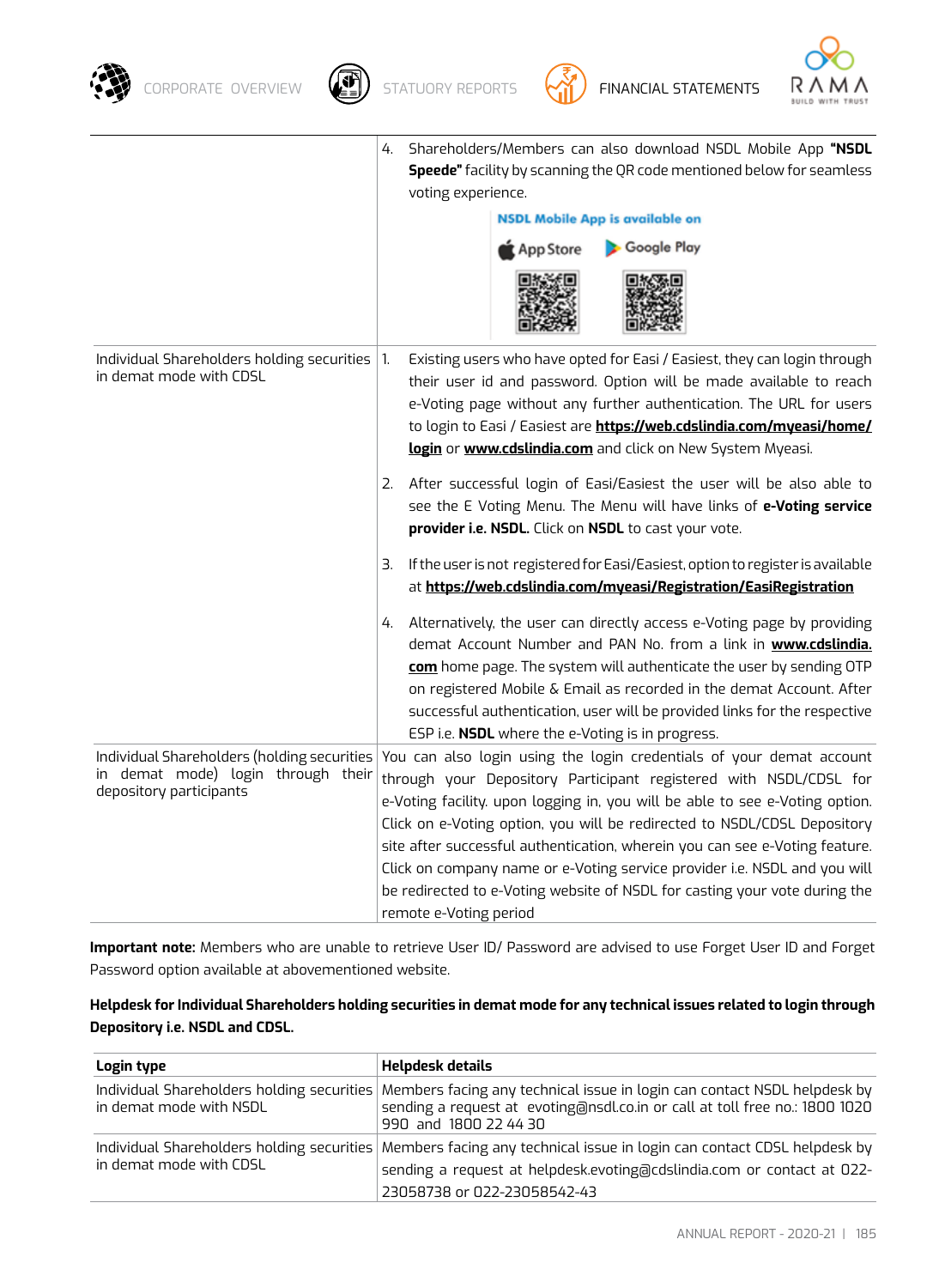





|                                                                                                              | Shareholders/Members can also download NSDL Mobile App "NSDL<br>4.<br><b>Speede"</b> facility by scanning the QR code mentioned below for seamless<br>voting experience.<br><b>NSDL Mobile App is available on</b><br>Google Play<br>App Store                                                                                                                                                                                                                                                                                                                            |
|--------------------------------------------------------------------------------------------------------------|---------------------------------------------------------------------------------------------------------------------------------------------------------------------------------------------------------------------------------------------------------------------------------------------------------------------------------------------------------------------------------------------------------------------------------------------------------------------------------------------------------------------------------------------------------------------------|
| Individual Shareholders holding securities $ 1$ .<br>in demat mode with CDSL                                 | Existing users who have opted for Easi / Easiest, they can login through<br>their user id and password. Option will be made available to reach<br>e-Voting page without any further authentication. The URL for users<br>to login to Easi / Easiest are https://web.cdslindia.com/myeasi/home/<br>login or www.cdslindia.com and click on New System Myeasi.                                                                                                                                                                                                              |
|                                                                                                              | 2. After successful login of Easi/Easiest the user will be also able to<br>see the E Voting Menu. The Menu will have links of e-Voting service<br>provider i.e. NSDL. Click on NSDL to cast your vote.                                                                                                                                                                                                                                                                                                                                                                    |
|                                                                                                              | If the user is not registered for Easi/Easiest, option to register is available<br>З.<br>at https://web.cdslindia.com/myeasi/Registration/EasiRegistration                                                                                                                                                                                                                                                                                                                                                                                                                |
|                                                                                                              | Alternatively, the user can directly access e-Voting page by providing<br>4.<br>demat Account Number and PAN No. from a link in www.cdslindia.<br>com home page. The system will authenticate the user by sending OTP<br>on registered Mobile & Email as recorded in the demat Account. After<br>successful authentication, user will be provided links for the respective<br>ESP i.e. NSDL where the e-Voting is in progress.                                                                                                                                            |
| Individual Shareholders (holding securities<br>in demat mode) login through their<br>depository participants | You can also login using the login credentials of your demat account<br>through your Depository Participant registered with NSDL/CDSL for<br>e-Voting facility. upon logging in, you will be able to see e-Voting option.<br>Click on e-Voting option, you will be redirected to NSDL/CDSL Depository<br>site after successful authentication, wherein you can see e-Voting feature.<br>Click on company name or e-Voting service provider i.e. NSDL and you will<br>be redirected to e-Voting website of NSDL for casting your vote during the<br>remote e-Voting period |

**Important note:** Members who are unable to retrieve User ID/ Password are advised to use Forget User ID and Forget Password option available at abovementioned website.

| Helpdesk for Individual Shareholders holding securities in demat mode for any technical issues related to login through |  |
|-------------------------------------------------------------------------------------------------------------------------|--|
| Depository i.e. NSDL and CDSL.                                                                                          |  |

| Login type              | Helpdesk details                                                                                                                                                                                                            |
|-------------------------|-----------------------------------------------------------------------------------------------------------------------------------------------------------------------------------------------------------------------------|
| in demat mode with NSDL | Individual Shareholders holding securities Members facing any technical issue in login can contact NSDL helpdesk by<br>sending a request at evoting@nsdl.co.in or call at toll free no.: 1800 1020<br>990 and 1800 22 44 30 |
|                         | Individual Shareholders holding securities Members facing any technical issue in login can contact CDSL helpdesk by                                                                                                         |
| in demat mode with CDSL | sending a request at helpdesk.evoting@cdslindia.com or contact at 022-                                                                                                                                                      |
|                         | 23058738 or 022-23058542-43                                                                                                                                                                                                 |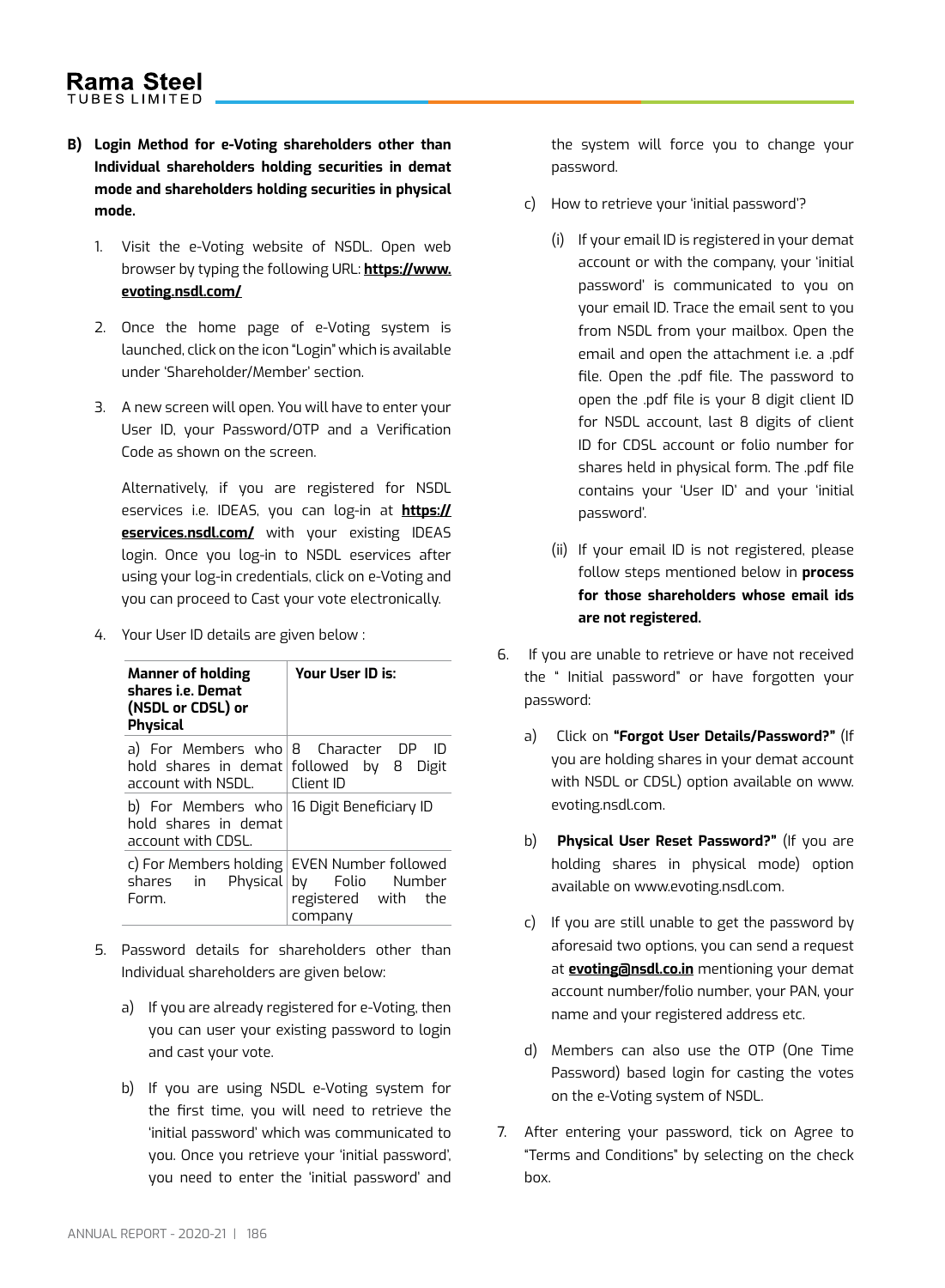- **B) Login Method for e-Voting shareholders other than Individual shareholders holding securities in demat mode and shareholders holding securities in physical mode.**
	- 1. Visit the e-Voting website of NSDL. Open web browser by typing the following URL: **https://www. evoting.nsdl.com/**
	- 2. Once the home page of e-Voting system is launched, click on the icon "Login" which is available under 'Shareholder/Member' section.
	- 3. A new screen will open. You will have to enter your User ID, your Password/OTP and a Verification Code as shown on the screen.

Alternatively, if you are registered for NSDL eservices i.e. IDEAS, you can log-in at **https:// eservices.nsdl.com/** with your existing IDEAS login. Once you log-in to NSDL eservices after using your log-in credentials, click on e-Voting and you can proceed to Cast your vote electronically.

4. Your User ID details are given below :

| <b>Manner of holding</b><br>shares i.e. Demat<br>(NSDL or CDSL) or<br><b>Physical</b>    | Your User ID is:                                                                                                      |  |
|------------------------------------------------------------------------------------------|-----------------------------------------------------------------------------------------------------------------------|--|
| $\alpha$ account with NSDL. $\Box$ Client ID                                             | a) For Members who $\vert$ 8 Character DP ID<br>hold shares in demat followed by 8 Digit                              |  |
| b) For Members who 16 Digit Beneficiary ID<br>hold shares in demat<br>account with CDSL. |                                                                                                                       |  |
| Form.                                                                                    | c) For Members holding   EVEN Number followed<br>shares in Physical by Folio Number<br>registered with the<br>company |  |

- 5. Password details for shareholders other than Individual shareholders are given below:
	- a) If you are already registered for e-Voting, then you can user your existing password to login and cast your vote.
	- b) If you are using NSDL e-Voting system for the first time, you will need to retrieve the 'initial password' which was communicated to you. Once you retrieve your 'initial password', you need to enter the 'initial password' and

the system will force you to change your password.

- c) How to retrieve your 'initial password'?
	- (i) If your email ID is registered in your demat account or with the company, your 'initial password' is communicated to you on your email ID. Trace the email sent to you from NSDL from your mailbox. Open the email and open the attachment i.e. a .pdf file. Open the .pdf file. The password to open the .pdf file is your 8 digit client ID for NSDL account, last 8 digits of client ID for CDSL account or folio number for shares held in physical form. The .pdf file contains your 'User ID' and your 'initial password'.
	- (ii) If your email ID is not registered, please follow steps mentioned below in **process for those shareholders whose email ids are not registered.**
- 6. If you are unable to retrieve or have not received the " Initial password" or have forgotten your password:
	- a) Click on **"Forgot User Details/Password?"** (If you are holding shares in your demat account with NSDL or CDSL) option available on www. evoting.nsdl.com.
	- b) **Physical User Reset Password?"** (If you are holding shares in physical mode) option available on www.evoting.nsdl.com.
	- c) If you are still unable to get the password by aforesaid two options, you can send a request at **evoting@nsdl.co.in** mentioning your demat account number/folio number, your PAN, your name and your registered address etc.
	- d) Members can also use the OTP (One Time Password) based login for casting the votes on the e-Voting system of NSDL.
- 7. After entering your password, tick on Agree to "Terms and Conditions" by selecting on the check box.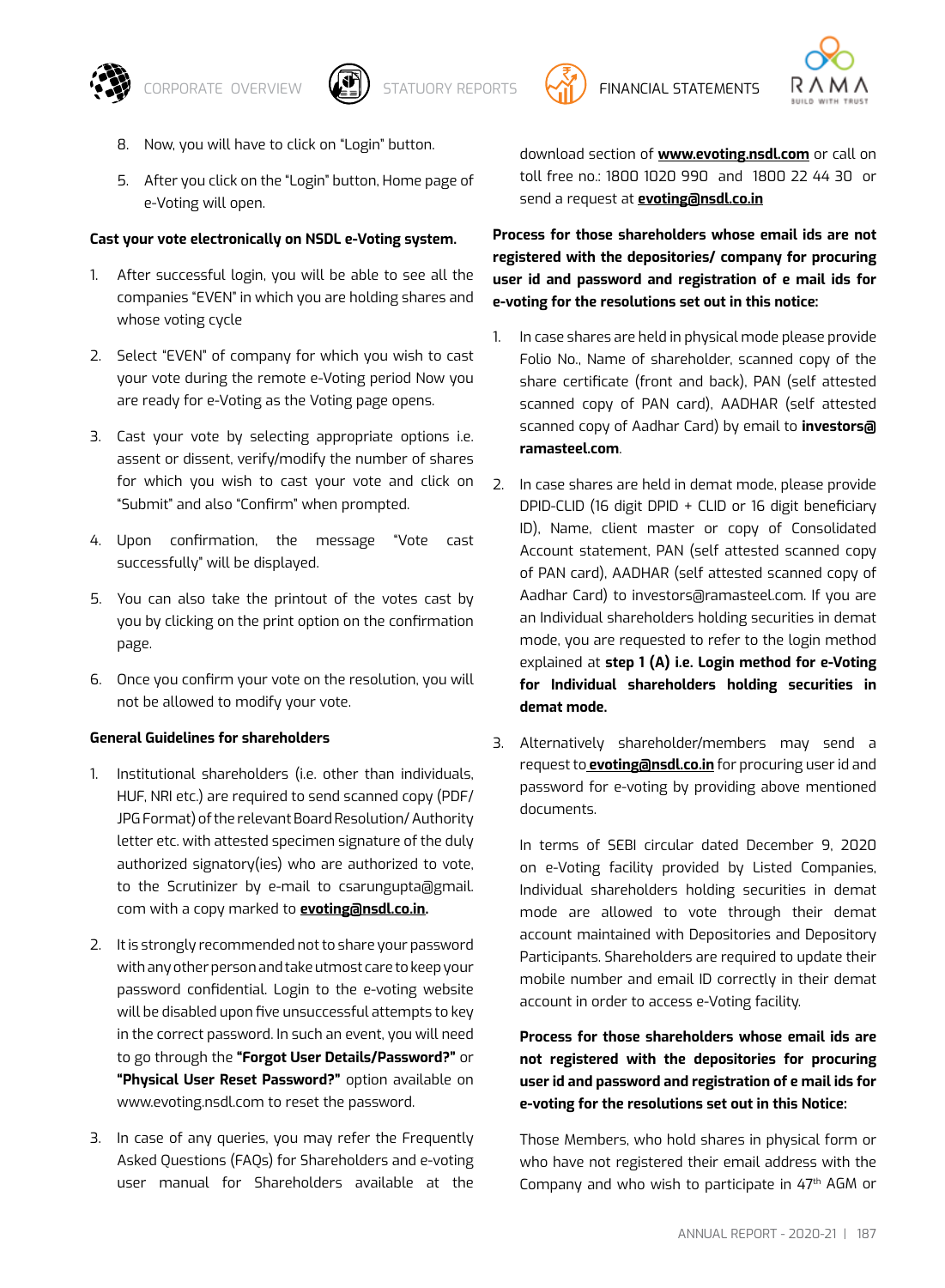





- 8. Now, you will have to click on "Login" button.
- 5. After you click on the "Login" button, Home page of e-Voting will open.

#### **Cast your vote electronically on NSDL e-Voting system.**

- 1. After successful login, you will be able to see all the companies "EVEN" in which you are holding shares and whose voting cycle
- 2. Select "EVEN" of company for which you wish to cast your vote during the remote e-Voting period Now you are ready for e-Voting as the Voting page opens.
- 3. Cast your vote by selecting appropriate options i.e. assent or dissent, verify/modify the number of shares for which you wish to cast your vote and click on "Submit" and also "Confirm" when prompted.
- 4. Upon confirmation, the message "Vote cast successfully" will be displayed.
- 5. You can also take the printout of the votes cast by you by clicking on the print option on the confirmation page.
- 6. Once you confirm your vote on the resolution, you will not be allowed to modify your vote.

#### **General Guidelines for shareholders**

- 1. Institutional shareholders (i.e. other than individuals, HUF, NRI etc.) are required to send scanned copy (PDF/ JPG Format) of the relevant Board Resolution/ Authority letter etc. with attested specimen signature of the duly authorized signatory(ies) who are authorized to vote, to the Scrutinizer by e-mail to csarungupta@gmail. com with a copy marked to **evoting@nsdl.co.in.**
- 2. It is strongly recommended not to share your password with any other person and take utmost care to keep your password confidential. Login to the e-voting website will be disabled upon five unsuccessful attempts to key in the correct password. In such an event, you will need to go through the **"Forgot User Details/Password?"** or **"Physical User Reset Password?"** option available on www.evoting.nsdl.com to reset the password.
- 3. In case of any queries, you may refer the Frequently Asked Questions (FAQs) for Shareholders and e-voting user manual for Shareholders available at the

download section of **www.evoting.nsdl.com** or call on toll free no.: 1800 1020 990 and 1800 22 44 30 or send a request at **evoting@nsdl.co.in**

**Process for those shareholders whose email ids are not registered with the depositories/ company for procuring user id and password and registration of e mail ids for e-voting for the resolutions set out in this notice:**

- 1. In case shares are held in physical mode please provide Folio No., Name of shareholder, scanned copy of the share certificate (front and back), PAN (self attested scanned copy of PAN card), AADHAR (self attested scanned copy of Aadhar Card) by email to **investors@ ramasteel.com**.
- 2. In case shares are held in demat mode, please provide DPID-CLID (16 digit DPID + CLID or 16 digit beneficiary ID), Name, client master or copy of Consolidated Account statement, PAN (self attested scanned copy of PAN card), AADHAR (self attested scanned copy of Aadhar Card) to investors@ramasteel.com. If you are an Individual shareholders holding securities in demat mode, you are requested to refer to the login method explained at **step 1 (A) i.e. Login method for e-Voting for Individual shareholders holding securities in demat mode.**
- 3. Alternatively shareholder/members may send a request to **evoting@nsdl.co.in** for procuring user id and password for e-voting by providing above mentioned documents.

In terms of SEBI circular dated December 9, 2020 on e-Voting facility provided by Listed Companies, Individual shareholders holding securities in demat mode are allowed to vote through their demat account maintained with Depositories and Depository Participants. Shareholders are required to update their mobile number and email ID correctly in their demat account in order to access e-Voting facility.

**Process for those shareholders whose email ids are not registered with the depositories for procuring user id and password and registration of e mail ids for e-voting for the resolutions set out in this Notice:**

 Those Members, who hold shares in physical form or who have not registered their email address with the Company and who wish to participate in 47th AGM or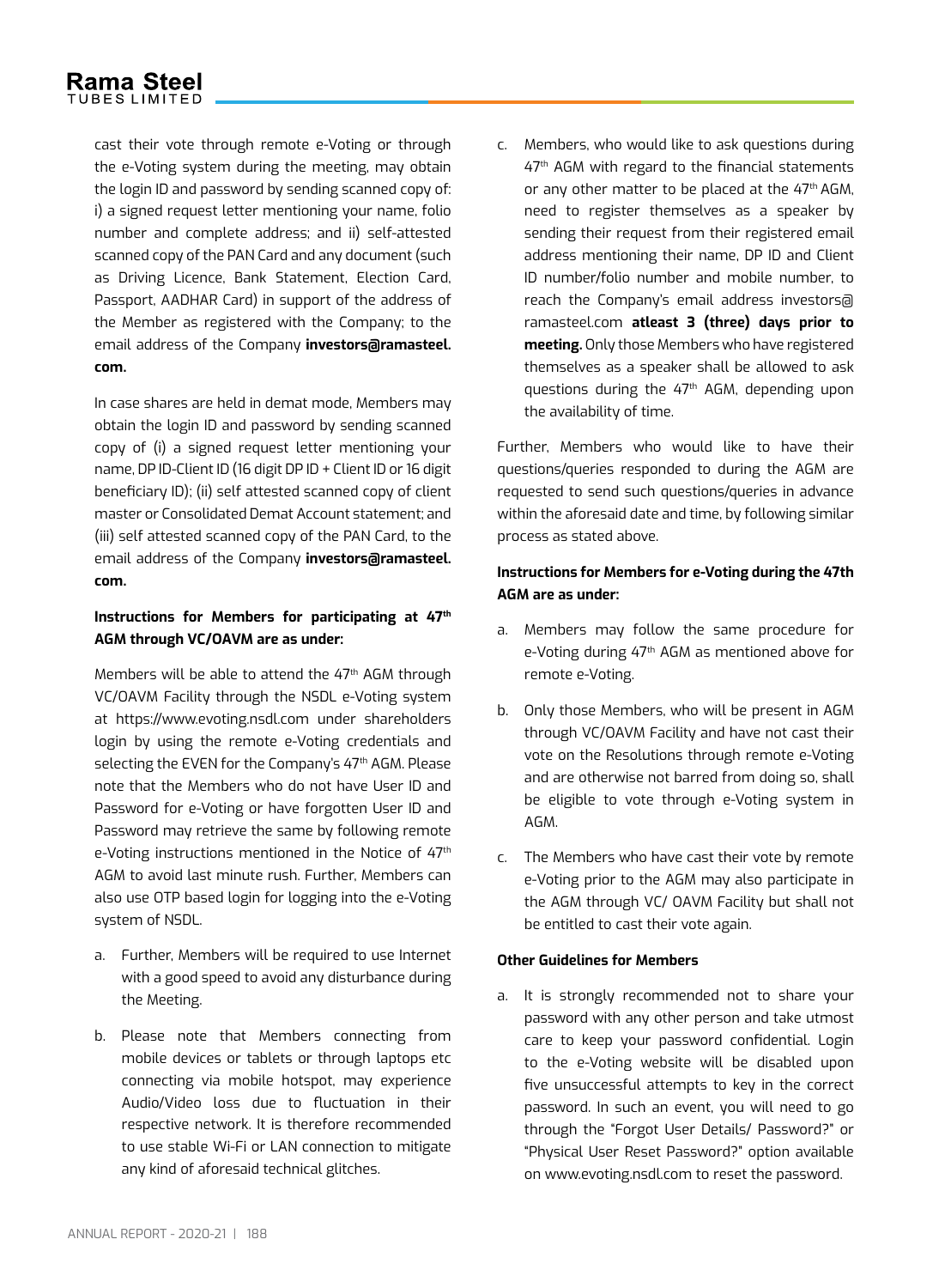cast their vote through remote e-Voting or through the e-Voting system during the meeting, may obtain the login ID and password by sending scanned copy of: i) a signed request letter mentioning your name, folio number and complete address; and ii) self-attested scanned copy of the PAN Card and any document (such as Driving Licence, Bank Statement, Election Card, Passport, AADHAR Card) in support of the address of the Member as registered with the Company; to the email address of the Company **investors@ramasteel. com.**

In case shares are held in demat mode, Members may obtain the login ID and password by sending scanned copy of (i) a signed request letter mentioning your name, DP ID-Client ID (16 digit DP ID + Client ID or 16 digit beneficiary ID); (ii) self attested scanned copy of client master or Consolidated Demat Account statement; and (iii) self attested scanned copy of the PAN Card, to the email address of the Company **investors@ramasteel. com.**

# **Instructions for Members for participating at 47th AGM through VC/OAVM are as under:**

Members will be able to attend the 47<sup>th</sup> AGM through VC/OAVM Facility through the NSDL e-Voting system at https://www.evoting.nsdl.com under shareholders login by using the remote e-Voting credentials and selecting the EVEN for the Company's 47<sup>th</sup> AGM. Please note that the Members who do not have User ID and Password for e-Voting or have forgotten User ID and Password may retrieve the same by following remote e-Voting instructions mentioned in the Notice of 47<sup>th</sup> AGM to avoid last minute rush. Further, Members can also use OTP based login for logging into the e-Voting system of NSDL.

- a. Further, Members will be required to use Internet with a good speed to avoid any disturbance during the Meeting.
- b. Please note that Members connecting from mobile devices or tablets or through laptops etc connecting via mobile hotspot, may experience Audio/Video loss due to fluctuation in their respective network. It is therefore recommended to use stable Wi-Fi or LAN connection to mitigate any kind of aforesaid technical glitches.

c. Members, who would like to ask questions during 47<sup>th</sup> AGM with regard to the financial statements or any other matter to be placed at the  $47<sup>th</sup>$  AGM, need to register themselves as a speaker by sending their request from their registered email address mentioning their name, DP ID and Client ID number/folio number and mobile number, to reach the Company's email address investors@ ramasteel.com **atleast 3 (three) days prior to meeting.** Only those Members who have registered themselves as a speaker shall be allowed to ask questions during the 47<sup>th</sup> AGM, depending upon the availability of time.

Further, Members who would like to have their questions/queries responded to during the AGM are requested to send such questions/queries in advance within the aforesaid date and time, by following similar process as stated above.

# **Instructions for Members for e-Voting during the 47th AGM are as under:**

- a. Members may follow the same procedure for e-Voting during 47<sup>th</sup> AGM as mentioned above for remote e-Voting.
- b. Only those Members, who will be present in AGM through VC/OAVM Facility and have not cast their vote on the Resolutions through remote e-Voting and are otherwise not barred from doing so, shall be eligible to vote through e-Voting system in AGM.
- c. The Members who have cast their vote by remote e-Voting prior to the AGM may also participate in the AGM through VC/ OAVM Facility but shall not be entitled to cast their vote again.

### **Other Guidelines for Members**

a. It is strongly recommended not to share your password with any other person and take utmost care to keep your password confidential. Login to the e-Voting website will be disabled upon five unsuccessful attempts to key in the correct password. In such an event, you will need to go through the "Forgot User Details/ Password?" or "Physical User Reset Password?" option available on www.evoting.nsdl.com to reset the password.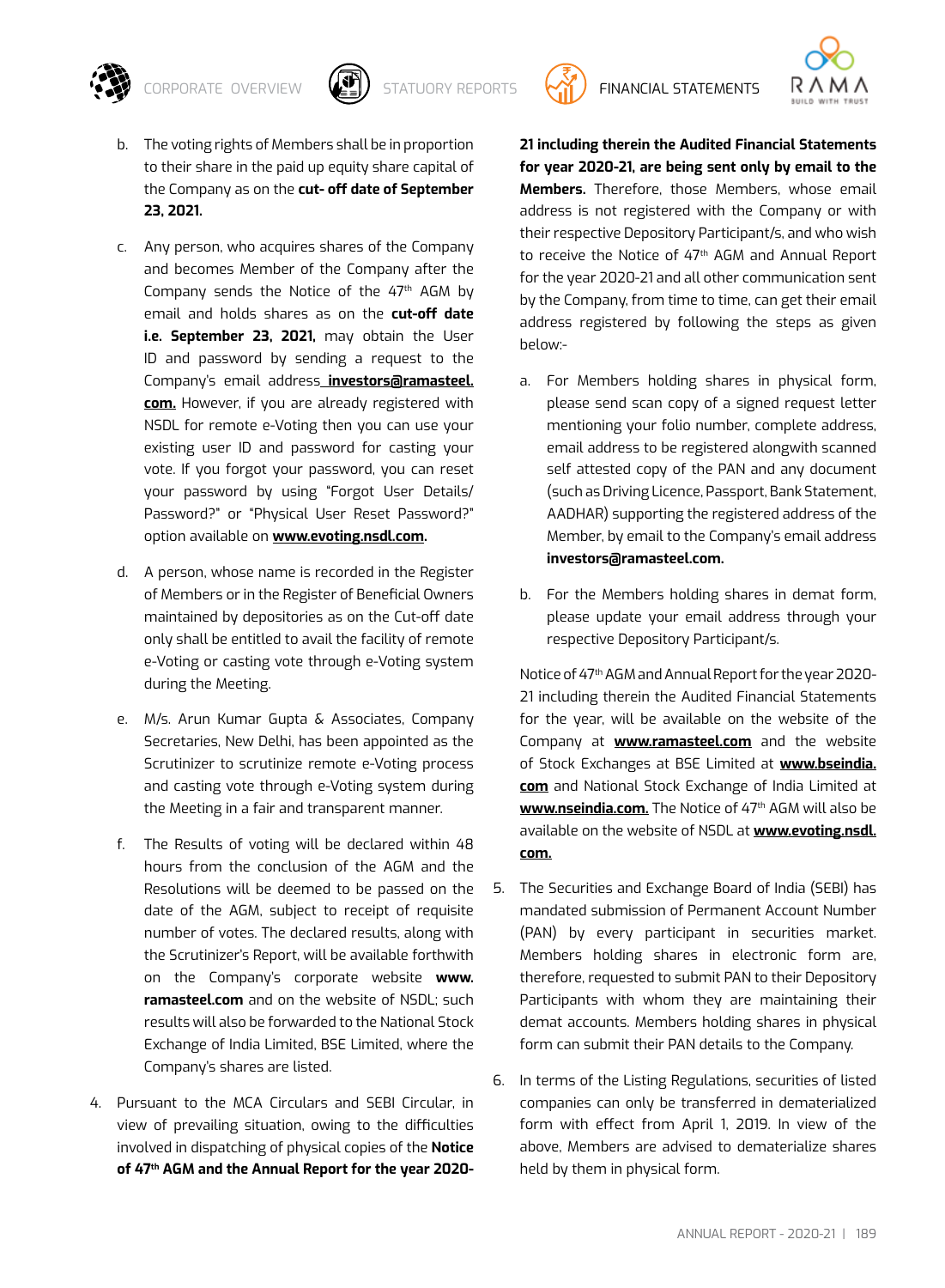

- b. The voting rights of Members shall be in proportion to their share in the paid up equity share capital of the Company as on the **cut- off date of September 23, 2021.**
- c. Any person, who acquires shares of the Company and becomes Member of the Company after the Company sends the Notice of the 47<sup>th</sup> AGM by email and holds shares as on the **cut-off date i.e. September 23, 2021,** may obtain the User ID and password by sending a request to the Company's email address **investors@ramasteel. com.** However, if you are already registered with NSDL for remote e-Voting then you can use your existing user ID and password for casting your vote. If you forgot your password, you can reset your password by using "Forgot User Details/ Password?" or "Physical User Reset Password?" option available on **www.evoting.nsdl.com.**
- d. A person, whose name is recorded in the Register of Members or in the Register of Beneficial Owners maintained by depositories as on the Cut-off date only shall be entitled to avail the facility of remote e-Voting or casting vote through e-Voting system during the Meeting.
- e. M/s. Arun Kumar Gupta & Associates, Company Secretaries, New Delhi, has been appointed as the Scrutinizer to scrutinize remote e-Voting process and casting vote through e-Voting system during the Meeting in a fair and transparent manner.
- f. The Results of voting will be declared within 48 hours from the conclusion of the AGM and the Resolutions will be deemed to be passed on the date of the AGM, subject to receipt of requisite number of votes. The declared results, along with the Scrutinizer's Report, will be available forthwith on the Company's corporate website **www. ramasteel.com** and on the website of NSDL; such results will also be forwarded to the National Stock Exchange of India Limited, BSE Limited, where the Company's shares are listed.
- 4. Pursuant to the MCA Circulars and SEBI Circular, in view of prevailing situation, owing to the difficulties involved in dispatching of physical copies of the **Notice of 47th AGM and the Annual Report for the year 2020-**

**21 including therein the Audited Financial Statements for year 2020-21, are being sent only by email to the Members.** Therefore, those Members, whose email address is not registered with the Company or with their respective Depository Participant/s, and who wish to receive the Notice of 47<sup>th</sup> AGM and Annual Report for the year 2020-21 and all other communication sent by the Company, from time to time, can get their email address registered by following the steps as given below:-

- a. For Members holding shares in physical form, please send scan copy of a signed request letter mentioning your folio number, complete address, email address to be registered alongwith scanned self attested copy of the PAN and any document (such as Driving Licence, Passport, Bank Statement, AADHAR) supporting the registered address of the Member, by email to the Company's email address **investors@ramasteel.com.**
- b. For the Members holding shares in demat form, please update your email address through your respective Depository Participant/s.

Notice of 47th AGM and Annual Report for the year 2020- 21 including therein the Audited Financial Statements for the year, will be available on the website of the Company at **www.ramasteel.com** and the website of Stock Exchanges at BSE Limited at **www.bseindia. com** and National Stock Exchange of India Limited at www.nseindia.com. The Notice of 47<sup>th</sup> AGM will also be available on the website of NSDL at **www.evoting.nsdl. com.**

- 5. The Securities and Exchange Board of India (SEBI) has mandated submission of Permanent Account Number (PAN) by every participant in securities market. Members holding shares in electronic form are, therefore, requested to submit PAN to their Depository Participants with whom they are maintaining their demat accounts. Members holding shares in physical form can submit their PAN details to the Company.
- 6. In terms of the Listing Regulations, securities of listed companies can only be transferred in dematerialized form with effect from April 1, 2019. In view of the above, Members are advised to dematerialize shares held by them in physical form.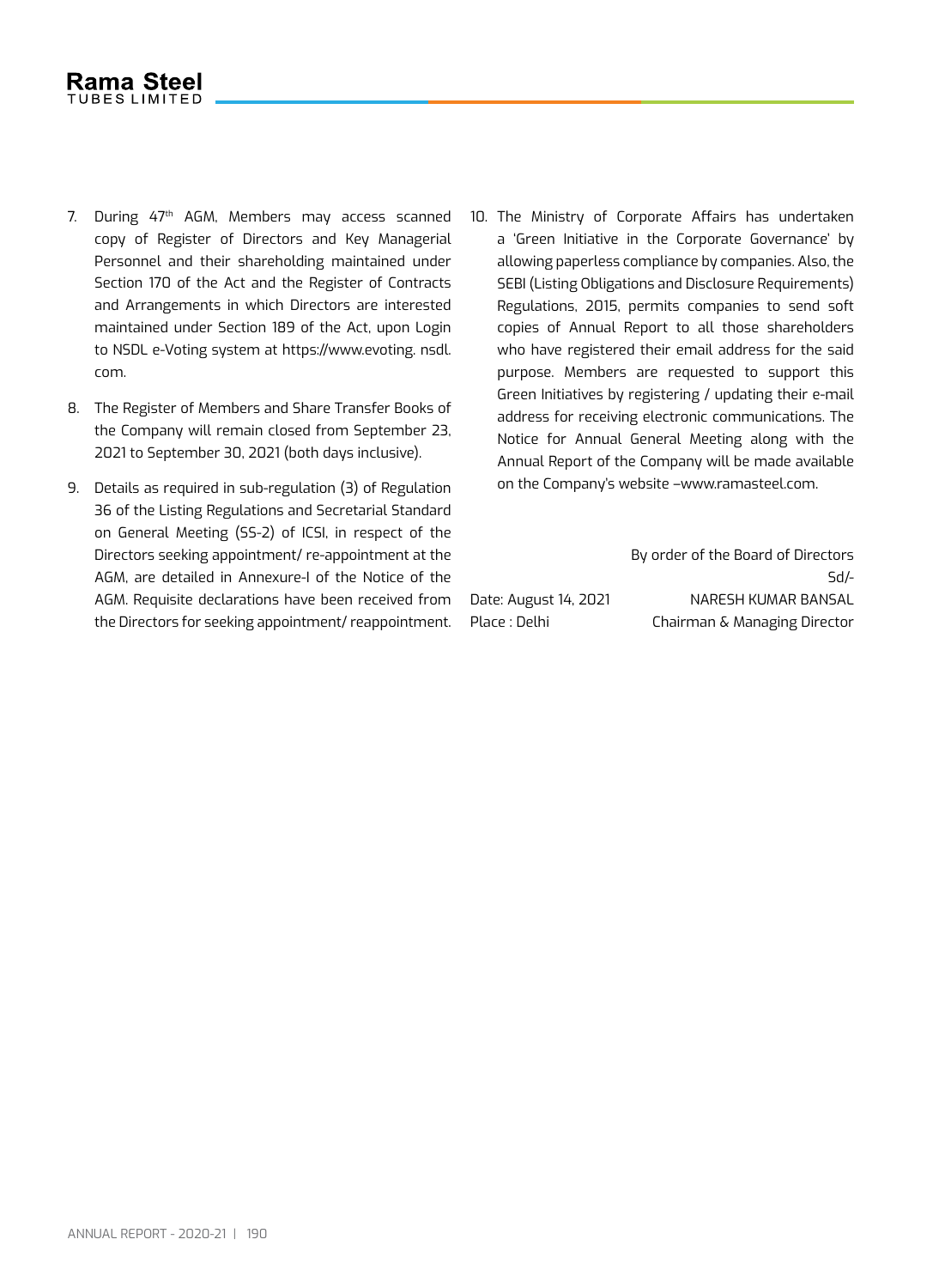- 7. During 47<sup>th</sup> AGM, Members may access scanned copy of Register of Directors and Key Managerial Personnel and their shareholding maintained under Section 170 of the Act and the Register of Contracts and Arrangements in which Directors are interested maintained under Section 189 of the Act, upon Login to NSDL e-Voting system at https://www.evoting. nsdl. com.
- 8. The Register of Members and Share Transfer Books of the Company will remain closed from September 23, 2021 to September 30, 2021 (both days inclusive).
- 9. Details as required in sub-regulation (3) of Regulation 36 of the Listing Regulations and Secretarial Standard on General Meeting (SS-2) of ICSI, in respect of the Directors seeking appointment/ re-appointment at the AGM, are detailed in Annexure-I of the Notice of the AGM. Requisite declarations have been received from the Directors for seeking appointment/ reappointment.
- 10. The Ministry of Corporate Affairs has undertaken a 'Green Initiative in the Corporate Governance' by allowing paperless compliance by companies. Also, the SEBI (Listing Obligations and Disclosure Requirements) Regulations, 2015, permits companies to send soft copies of Annual Report to all those shareholders who have registered their email address for the said purpose. Members are requested to support this Green Initiatives by registering / updating their e-mail address for receiving electronic communications. The Notice for Annual General Meeting along with the Annual Report of the Company will be made available on the Company's website –www.ramasteel.com.

By order of the Board of Directors Sd/- Date: August 14, 2021 NARESH KUMAR BANSAL Place : Delhi Chairman & Managing Director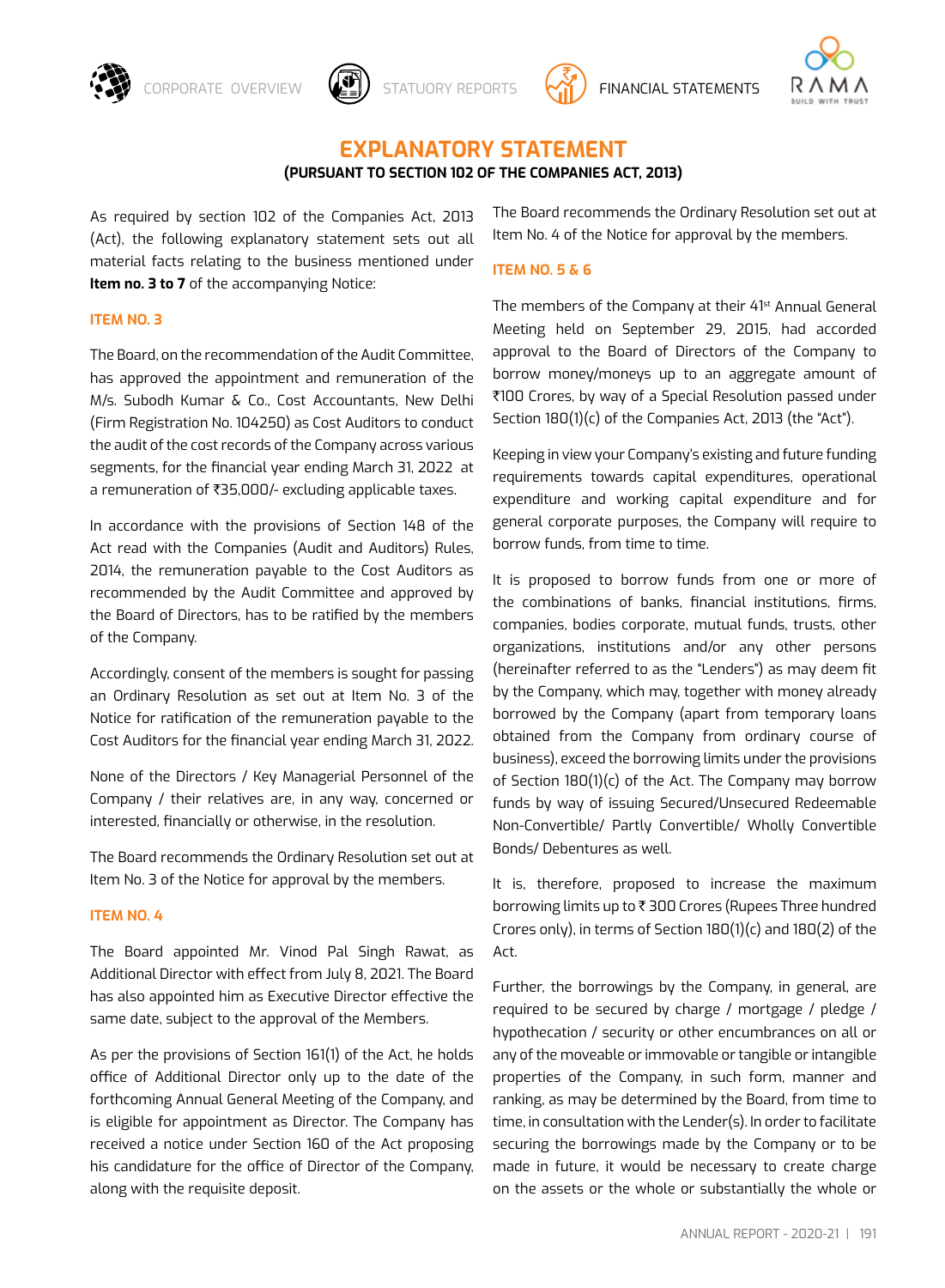

CORPORATE OVERVIEW  $\left(\frac{1}{2}\right)$  statuory reports  $\left(\frac{1}{2}\right)$  financial statements



# **Explanatory Statement**

# **(Pursuant to section 102 of the Companies Act, 2013)**

As required by section 102 of the Companies Act, 2013 (Act), the following explanatory statement sets out all material facts relating to the business mentioned under **Item no. 3 to 7** of the accompanying Notice:

#### **Item no. 3**

The Board, on the recommendation of the Audit Committee, has approved the appointment and remuneration of the M/s. Subodh Kumar & Co., Cost Accountants, New Delhi (Firm Registration No. 104250) as Cost Auditors to conduct the audit of the cost records of the Company across various segments, for the financial year ending March 31, 2022 at a remuneration of ₹35,000/- excluding applicable taxes.

In accordance with the provisions of Section 148 of the Act read with the Companies (Audit and Auditors) Rules, 2014, the remuneration payable to the Cost Auditors as recommended by the Audit Committee and approved by the Board of Directors, has to be ratified by the members of the Company.

Accordingly, consent of the members is sought for passing an Ordinary Resolution as set out at Item No. 3 of the Notice for ratification of the remuneration payable to the Cost Auditors for the financial year ending March 31, 2022.

None of the Directors / Key Managerial Personnel of the Company / their relatives are, in any way, concerned or interested, financially or otherwise, in the resolution.

The Board recommends the Ordinary Resolution set out at Item No. 3 of the Notice for approval by the members.

### **ITEM NO. 4**

The Board appointed Mr. Vinod Pal Singh Rawat, as Additional Director with effect from July 8, 2021. The Board has also appointed him as Executive Director effective the same date, subject to the approval of the Members.

As per the provisions of Section 161(1) of the Act, he holds office of Additional Director only up to the date of the forthcoming Annual General Meeting of the Company, and is eligible for appointment as Director. The Company has received a notice under Section 160 of the Act proposing his candidature for the office of Director of the Company, along with the requisite deposit.

The Board recommends the Ordinary Resolution set out at Item No. 4 of the Notice for approval by the members.

#### **Item no. 5 & 6**

The members of the Company at their 41<sup>st</sup> Annual General Meeting held on September 29, 2015, had accorded approval to the Board of Directors of the Company to borrow money/moneys up to an aggregate amount of `100 Crores, by way of a Special Resolution passed under Section 180(1)(c) of the Companies Act, 2013 (the "Act").

Keeping in view your Company's existing and future funding requirements towards capital expenditures, operational expenditure and working capital expenditure and for general corporate purposes, the Company will require to borrow funds, from time to time.

It is proposed to borrow funds from one or more of the combinations of banks, financial institutions, firms, companies, bodies corporate, mutual funds, trusts, other organizations, institutions and/or any other persons (hereinafter referred to as the "Lenders") as may deem fit by the Company, which may, together with money already borrowed by the Company (apart from temporary loans obtained from the Company from ordinary course of business), exceed the borrowing limits under the provisions of Section 180(1)(c) of the Act. The Company may borrow funds by way of issuing Secured/Unsecured Redeemable Non-Convertible/ Partly Convertible/ Wholly Convertible Bonds/ Debentures as well.

It is, therefore, proposed to increase the maximum borrowing limits up to ₹300 Crores (Rupees Three hundred Crores only), in terms of Section 180(1)(c) and 180(2) of the Act.

Further, the borrowings by the Company, in general, are required to be secured by charge / mortgage / pledge / hypothecation / security or other encumbrances on all or any of the moveable or immovable or tangible or intangible properties of the Company, in such form, manner and ranking, as may be determined by the Board, from time to time, in consultation with the Lender(s). In order to facilitate securing the borrowings made by the Company or to be made in future, it would be necessary to create charge on the assets or the whole or substantially the whole or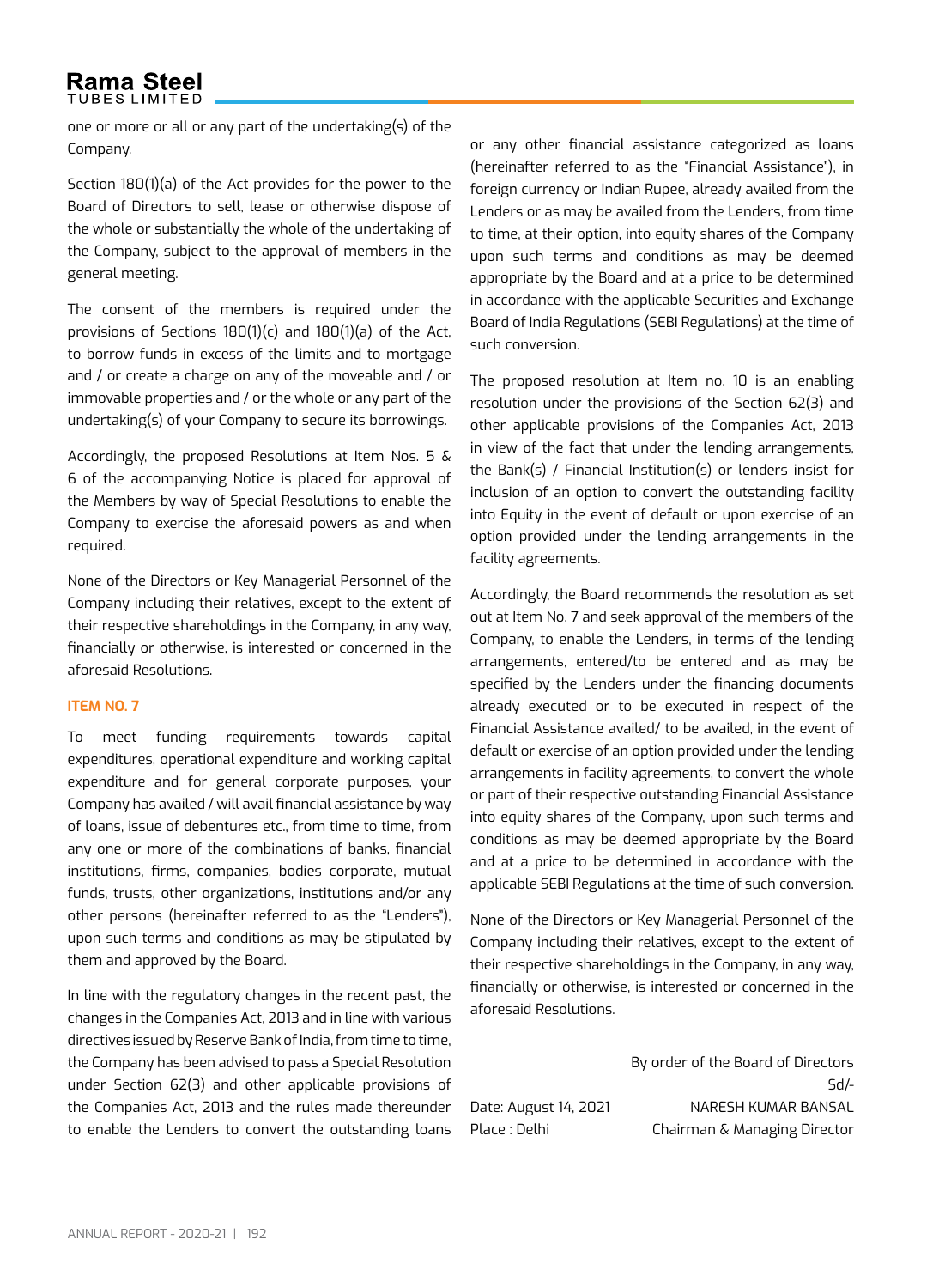# **Rama Steel TUBES LIMITED**

one or more or all or any part of the undertaking(s) of the Company.

Section 180(1)(a) of the Act provides for the power to the Board of Directors to sell, lease or otherwise dispose of the whole or substantially the whole of the undertaking of the Company, subject to the approval of members in the general meeting.

The consent of the members is required under the provisions of Sections 180(1)(c) and 180(1)(a) of the Act, to borrow funds in excess of the limits and to mortgage and / or create a charge on any of the moveable and / or immovable properties and / or the whole or any part of the undertaking(s) of your Company to secure its borrowings.

Accordingly, the proposed Resolutions at Item Nos. 5 & 6 of the accompanying Notice is placed for approval of the Members by way of Special Resolutions to enable the Company to exercise the aforesaid powers as and when required.

None of the Directors or Key Managerial Personnel of the Company including their relatives, except to the extent of their respective shareholdings in the Company, in any way, financially or otherwise, is interested or concerned in the aforesaid Resolutions.

### **Item no. 7**

To meet funding requirements towards capital expenditures, operational expenditure and working capital expenditure and for general corporate purposes, your Company has availed / will avail financial assistance by way of loans, issue of debentures etc., from time to time, from any one or more of the combinations of banks, financial institutions, firms, companies, bodies corporate, mutual funds, trusts, other organizations, institutions and/or any other persons (hereinafter referred to as the "Lenders"), upon such terms and conditions as may be stipulated by them and approved by the Board.

In line with the regulatory changes in the recent past, the changes in the Companies Act, 2013 and in line with various directives issued by Reserve Bank of India, from time to time, the Company has been advised to pass a Special Resolution under Section 62(3) and other applicable provisions of the Companies Act, 2013 and the rules made thereunder to enable the Lenders to convert the outstanding loans

or any other financial assistance categorized as loans (hereinafter referred to as the "Financial Assistance"), in foreign currency or Indian Rupee, already availed from the Lenders or as may be availed from the Lenders, from time to time, at their option, into equity shares of the Company upon such terms and conditions as may be deemed appropriate by the Board and at a price to be determined in accordance with the applicable Securities and Exchange Board of India Regulations (SEBI Regulations) at the time of such conversion.

The proposed resolution at Item no. 10 is an enabling resolution under the provisions of the Section 62(3) and other applicable provisions of the Companies Act, 2013 in view of the fact that under the lending arrangements, the Bank(s) / Financial Institution(s) or lenders insist for inclusion of an option to convert the outstanding facility into Equity in the event of default or upon exercise of an option provided under the lending arrangements in the facility agreements.

Accordingly, the Board recommends the resolution as set out at Item No. 7 and seek approval of the members of the Company, to enable the Lenders, in terms of the lending arrangements, entered/to be entered and as may be specified by the Lenders under the financing documents already executed or to be executed in respect of the Financial Assistance availed/ to be availed, in the event of default or exercise of an option provided under the lending arrangements in facility agreements, to convert the whole or part of their respective outstanding Financial Assistance into equity shares of the Company, upon such terms and conditions as may be deemed appropriate by the Board and at a price to be determined in accordance with the applicable SEBI Regulations at the time of such conversion.

None of the Directors or Key Managerial Personnel of the Company including their relatives, except to the extent of their respective shareholdings in the Company, in any way, financially or otherwise, is interested or concerned in the aforesaid Resolutions.

By order of the Board of Directors Sd/- Date: August 14, 2021 NARESH KUMAR BANSAL Place : Delhi Chairman & Managing Director